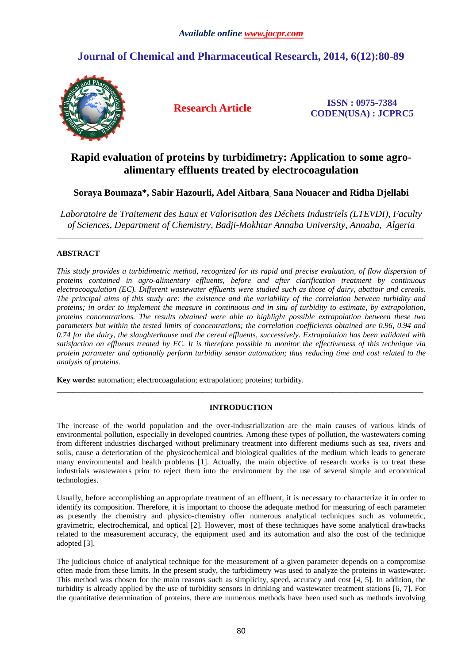# **Journal of Chemical and Pharmaceutical Research, 2014, 6(12):80-89**



**Research Article ISSN : 0975-7384 CODEN(USA) : JCPRC5**

# **Rapid evaluation of proteins by turbidimetry: Application to some agroalimentary effluents treated by electrocoagulation**

## **Soraya Boumaza\*, Sabir Hazourli, Adel Aitbara, Sana Nouacer and Ridha Djellabi**

*Laboratoire de Traitement des Eaux et Valorisation des Déchets Industriels (LTEVDI), Faculty of Sciences, Department of Chemistry, Badji-Mokhtar Annaba University, Annaba, Algeria* 

\_\_\_\_\_\_\_\_\_\_\_\_\_\_\_\_\_\_\_\_\_\_\_\_\_\_\_\_\_\_\_\_\_\_\_\_\_\_\_\_\_\_\_\_\_\_\_\_\_\_\_\_\_\_\_\_\_\_\_\_\_\_\_\_\_\_\_\_\_\_\_\_\_\_\_\_\_\_\_\_\_\_\_\_\_\_\_\_\_\_\_\_\_

### **ABSTRACT**

*This study provides a turbidimetric method, recognized for its rapid and precise evaluation, of flow dispersion of proteins contained in agro-alimentary effluents, before and after clarification treatment by continuous electrocoagulation (EC). Different wastewater effluents were studied such as those of dairy, abattoir and cereals. The principal aims of this study are: the existence and the variability of the correlation between turbidity and proteins; in order to implement the measure in continuous and in situ of turbidity to estimate, by extrapolation, proteins concentrations. The results obtained were able to highlight possible extrapolation between these two parameters but within the tested limits of concentrations; the correlation coefficients obtained are 0.96, 0.94 and 0.74 for the dairy, the slaughterhouse and the cereal effluents, successively. Extrapolation has been validated with satisfaction on effluents treated by EC. It is therefore possible to monitor the effectiveness of this technique via protein parameter and optionally perform turbidity sensor automation; thus reducing time and cost related to the analysis of proteins.* 

**Key words:** automation; electrocoagulation; extrapolation; proteins; turbidity.

## **INTRODUCTION**

\_\_\_\_\_\_\_\_\_\_\_\_\_\_\_\_\_\_\_\_\_\_\_\_\_\_\_\_\_\_\_\_\_\_\_\_\_\_\_\_\_\_\_\_\_\_\_\_\_\_\_\_\_\_\_\_\_\_\_\_\_\_\_\_\_\_\_\_\_\_\_\_\_\_\_\_\_\_\_\_\_\_\_\_\_\_\_\_\_\_\_\_\_

The increase of the world population and the over-industrialization are the main causes of various kinds of environmental pollution, especially in developed countries. Among these types of pollution, the wastewaters coming from different industries discharged without preliminary treatment into different mediums such as sea, rivers and soils, cause a deterioration of the physicochemical and biological qualities of the medium which leads to generate many environmental and health problems [1]. Actually, the main objective of research works is to treat these industrials wastewaters prior to reject them into the environment by the use of several simple and economical technologies.

Usually, before accomplishing an appropriate treatment of an effluent, it is necessary to characterize it in order to identify its composition. Therefore, it is important to choose the adequate method for measuring of each parameter as presently the chemistry and physico-chemistry offer numerous analytical techniques such as volumetric, gravimetric, electrochemical, and optical [2]. However, most of these techniques have some analytical drawbacks related to the measurement accuracy, the equipment used and its automation and also the cost of the technique adopted [3].

The judicious choice of analytical technique for the measurement of a given parameter depends on a compromise often made from these limits. In the present study, the turbidimetry was used to analyze the proteins in wastewater. This method was chosen for the main reasons such as simplicity, speed, accuracy and cost [4, 5]. In addition, the turbidity is already applied by the use of turbidity sensors in drinking and wastewater treatment stations [6, 7]. For the quantitative determination of proteins, there are numerous methods have been used such as methods involving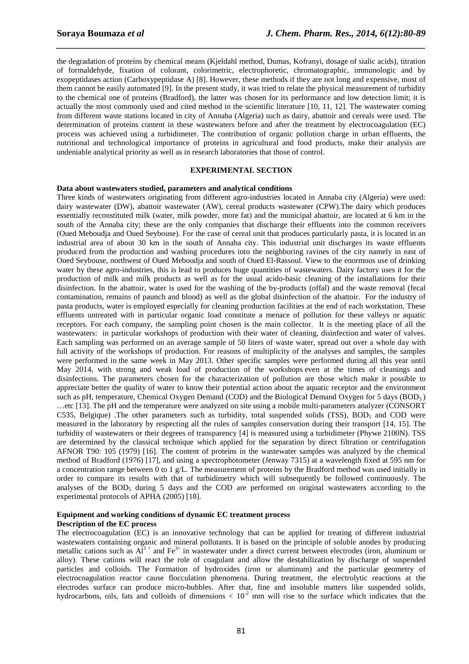the degradation of proteins by chemical means (Kjeldahl method, Dumas, Kofranyi, dosage of sialic acids), titration of formaldehyde, fixation of colorant, colorimetric, electrophoretic, chromatographic, immunologic and by exopeptidases action (Carboxypeptidase A) [8]. However, these methods if they are not long and expensive, most of them cannot be easily automated [9]. In the present study, it was tried to relate the physical measurement of turbidity to the chemical one of proteins (Bradford), the latter was chosen for its performance and low detection limit; it is actually the most commonly used and cited method in the scientific literature [10, 11, 12]. The wastewater coming from different waste stations located in city of Annaba (Algeria) such as dairy, abattoir and cereals were used. The determination of proteins content in these wastewaters before and after the treatment by electrocoagulation (EC) process was achieved using a turbidimeter. The contribution of organic pollution charge in urban effluents, the nutritional and technological importance of proteins in agricultural and food products, make their analysis are undeniable analytical priority as well as in research laboratories that those of control.

*\_\_\_\_\_\_\_\_\_\_\_\_\_\_\_\_\_\_\_\_\_\_\_\_\_\_\_\_\_\_\_\_\_\_\_\_\_\_\_\_\_\_\_\_\_\_\_\_\_\_\_\_\_\_\_\_\_\_\_\_\_\_\_\_\_\_\_\_\_\_\_\_\_\_\_\_\_\_*

#### **EXPERIMENTAL SECTION**

#### **Data about wastewaters studied, parameters and analytical conditions**

Three kinds of wastewaters originating from different agro-industries located in Annaba city (Algeria) were used: dairy wastewater (DW), abattoir wastewater (AW), cereal products wastewater (CPW).The dairy which produces essentially reconstituted milk (water, milk powder, more fat) and the municipal abattoir, are located at 6 km in the south of the Annaba city; these are the only companies that discharge their effluents into the common receivers (Oued Meboudja and Oued Seybouse). For the case of cereal unit that produces particularly pasta, it is located in an industrial area of about 30 km in the south of Annaba city. This industrial unit discharges its waste effluents produced from the production and washing procedures into the neighboring ravines of the city namely in east of Oued Seybouse, northwest of Oued Meboudja and south of Oued El-Rassoul. View to the enormous use of drinking water by these agro-industries, this is lead to produces huge quantities of wastewaters. Dairy factory uses it for the production of milk and milk products as well as for the usual acido-basic cleaning of the installations for their disinfection. In the abattoir, water is used for the washing of the by-products (offal) and the waste removal (fecal contamination, remains of paunch and blood) as well as the global disinfection of the abattoir. For the industry of pasta products, water is employed especially for cleaning production facilities at the end of each workstation. These effluents untreated with in particular organic load constitute a menace of pollution for these valleys or aquatic receptors. For each company, the sampling point chosen is the main collector. It is the meeting place of all the wastewaters: in particular workshops of production with their water of cleaning, disinfection and water of valves. Each sampling was performed on an average sample of 50 liters of waste water, spread out over a whole day with full activity of the workshops of production. For reasons of multiplicity of the analyses and samples, the samples were performed in the same week in May 2013. Other specific samples were performed during all this year until May 2014, with strong and weak load of production of the workshops even at the times of cleanings and disinfections. The parameters chosen for the characterization of pollution are those which make it possible to appreciate better the quality of water to know their potential action about the aquatic receptor and the environment such as pH, temperature, Chemical Oxygen Demand (COD) and the Biological Demand Oxygen for 5 days (BOD<sub>5</sub>) …etc [13]. The pH and the temperature were analyzed on site using a mobile multi-parameters analyzer (CONSORT C535, Belgique) .The other parameters such as turbidity, total suspended solids (TSS), BOD<sub>5</sub> and COD were measured in the laboratory by respecting all the rules of samples conservation during their transport [14, 15]. The turbidity of wastewaters or their degrees of transparency [4] is measured using a turbidimeter (Phywe 2100N). TSS are determined by the classical technique which applied for the separation by direct filtration or centrifugation AFNOR T90: 105 (1979) [16]. The content of proteins in the wastewater samples was analyzed by the chemical method of Bradford (1976) [17], and using a spectrophotometer (Jenway 7315) at a wavelength fixed at 595 nm for a concentration range between 0 to 1 g/L. The measurement of proteins by the Bradford method was used initially in order to compare its results with that of turbidimetry which will subsequently be followed continuously. The analyses of the  $BOD_5$  during 5 days and the COD are performed on original wastewaters according to the experimental protocols of APHA (2005) [18].

## **Equipment and working conditions of dynamic EC treatment process**

#### **Description of the EC process**

The electrocoagulation (EC) is an innovative technology that can be applied for treating of different industrial wastewaters containing organic and mineral pollutants. It is based on the principle of soluble anodes by producing metallic cations such as  $Al^{3+}$  and Fe<sup>3+</sup> in wastewater under a direct current between electrodes (iron, aluminum or alloy). These cations will react the role of coagulant and allow the destabilization by discharge of suspended particles and colloids. The Formation of hydroxides (iron or aluminum) and the particular geometry of electrocoagulation reactor cause flocculation phenomena. During treatment, the electrolytic reactions at the electrodes surface can produce micro-bubbles. After that, fine and insoluble matters like suspended solids, hydrocarbons, oils, fats and colloids of dimensions  $< 10<sup>-2</sup>$  mm will rise to the surface which indicates that the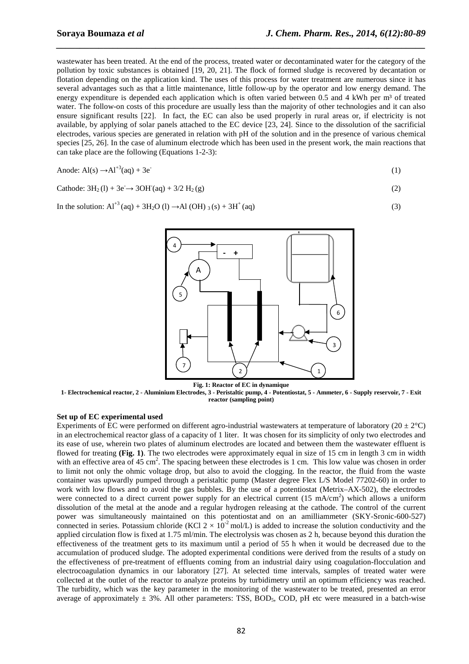wastewater has been treated. At the end of the process, treated water or decontaminated water for the category of the pollution by toxic substances is obtained [19, 20, 21]. The flock of formed sludge is recovered by decantation or flotation depending on the application kind. The uses of this process for water treatment are numerous since it has several advantages such as that a little maintenance, little follow-up by the operator and low energy demand. The energy expenditure is depended each application which is often varied between 0.5 and 4 kWh per m<sup>3</sup> of treated water. The follow-on costs of this procedure are usually less than the majority of other technologies and it can also ensure significant results [22]. In fact, the EC can also be used properly in rural areas or, if electricity is not available, by applying of solar panels attached to the EC device [23, 24]. Since to the dissolution of the sacrificial electrodes, various species are generated in relation with pH of the solution and in the presence of various chemical species [25, 26]. In the case of aluminum electrode which has been used in the present work, the main reactions that can take place are the following (Equations 1-2-3):

*\_\_\_\_\_\_\_\_\_\_\_\_\_\_\_\_\_\_\_\_\_\_\_\_\_\_\_\_\_\_\_\_\_\_\_\_\_\_\_\_\_\_\_\_\_\_\_\_\_\_\_\_\_\_\_\_\_\_\_\_\_\_\_\_\_\_\_\_\_\_\_\_\_\_\_\_\_\_*

Anode: 
$$
Al(s) \rightarrow Al^{+3}(aq) + 3e^{-}
$$
 (1)

Cathode: 
$$
3H_2(l) + 3e \rightarrow 3OH(aq) + 3/2 H_2(g)
$$
 (2)

In the solution:  $Al^{+3}$  (aq) + 3H<sub>2</sub>O (l)  $\rightarrow$ Al (OH) <sub>3</sub> (s) + 3H<sup>+</sup> (aq) (3)



**1- Electrochemical reactor, 2 - Aluminium Electrodes, 3 - Peristaltic pump, 4 - Potentiostat, 5 - Ammeter, 6 - Supply reservoir, 7 - Exit reactor (sampling point)** 

#### **Set up of EC experimental used**

Experiments of EC were performed on different agro-industrial wastewaters at temperature of laboratory ( $20 \pm 2^{\circ}$ C) in an electrochemical reactor glass of a capacity of 1 liter. It was chosen for its simplicity of only two electrodes and its ease of use, wherein two plates of aluminum electrodes are located and between them the wastewater effluent is flowed for treating **(Fig. 1)**. The two electrodes were approximately equal in size of 15 cm in length 3 cm in width with an effective area of 45 cm<sup>2</sup>. The spacing between these electrodes is 1 cm. This low value was chosen in order to limit not only the ohmic voltage drop, but also to avoid the clogging. In the reactor, the fluid from the waste container was upwardly pumped through a peristaltic pump (Master degree Flex L/S Model 77202-60) in order to work with low flows and to avoid the gas bubbles. By the use of a potentiostat (Metrix–AX-502), the electrodes were connected to a direct current power supply for an electrical current  $(15 \text{ mA/cm}^2)$  which allows a uniform dissolution of the metal at the anode and a regular hydrogen releasing at the cathode. The control of the current power was simultaneously maintained on this potentiostat and on an amilliammeter (SKY-Sronic-600-527) connected in series. Potassium chloride (KCl  $2 \times 10^{-2}$  mol/L) is added to increase the solution conductivity and the applied circulation flow is fixed at 1.75 ml/min. The electrolysis was chosen as 2 h, because beyond this duration the effectiveness of the treatment gets to its maximum until a period of 55 h when it would be decreased due to the accumulation of produced sludge. The adopted experimental conditions were derived from the results of a study on the effectiveness of pre-treatment of effluents coming from an industrial dairy using coagulation-flocculation and electrocoagulation dynamics in our laboratory [27]. At selected time intervals, samples of treated water were collected at the outlet of the reactor to analyze proteins by turbidimetry until an optimum efficiency was reached. The turbidity, which was the key parameter in the monitoring of the wastewater to be treated, presented an error average of approximately  $\pm$  3%. All other parameters: TSS, BOD<sub>5</sub>, COD, pH etc were measured in a batch-wise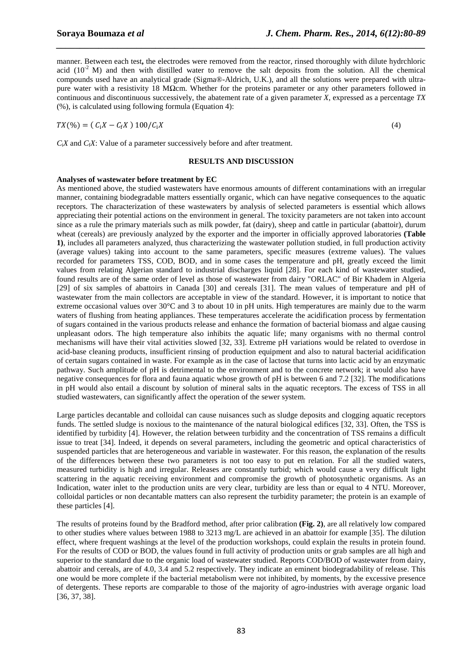manner. Between each test**,** the electrodes were removed from the reactor, rinsed thoroughly with dilute hydrchloric acid ( $10^{-2}$  M) and then with distilled water to remove the salt deposits from the solution. All the chemical compounds used have an analytical grade (Sigma®-Aldrich, U.K.), and all the solutions were prepared with ultrapure water with a resistivity 18 MΩcm. Whether for the proteins parameter or any other parameters followed in continuous and discontinuous successively, the abatement rate of a given parameter *X*, expressed as a percentage *TX* (%), is calculated using following formula (Equation 4):

*\_\_\_\_\_\_\_\_\_\_\_\_\_\_\_\_\_\_\_\_\_\_\_\_\_\_\_\_\_\_\_\_\_\_\_\_\_\_\_\_\_\_\_\_\_\_\_\_\_\_\_\_\_\_\_\_\_\_\_\_\_\_\_\_\_\_\_\_\_\_\_\_\_\_\_\_\_\_*

$$
TX (\%) = (\mathcal{C}_{\mathrm{i}} X - \mathcal{C}_{\mathrm{f}} X) \; 100/\mathcal{C}_{\mathrm{i}} X
$$

*C*<sub>*X*</sub> and *C*<sub>*iX*</sub>: Value of a parameter successively before and after treatment.

#### **RESULTS AND DISCUSSION**

#### **Analyses of wastewater before treatment by EC**

As mentioned above, the studied wastewaters have enormous amounts of different contaminations with an irregular manner, containing biodegradable matters essentially organic, which can have negative consequences to the aquatic receptors. The characterization of these wastewaters by analysis of selected parameters is essential which allows appreciating their potential actions on the environment in general. The toxicity parameters are not taken into account since as a rule the primary materials such as milk powder, fat (dairy), sheep and cattle in particular (abattoir), durum wheat (cereals) are previously analyzed by the exporter and the importer in officially approved laboratories **(Table 1)**, includes all parameters analyzed, thus characterizing the wastewater pollution studied, in full production activity (average values) taking into account to the same parameters, specific measures (extreme values). The values recorded for parameters TSS, COD, BOD, and in some cases the temperature and pH, greatly exceed the limit values from relating Algerian standard to industrial discharges liquid [28]. For each kind of wastewater studied, found results are of the same order of level as those of wastewater from dairy "ORLAC" of Bir Khadem in Algeria [29] of six samples of abattoirs in Canada [30] and cereals [31]. The mean values of temperature and pH of wastewater from the main collectors are acceptable in view of the standard. However, it is important to notice that extreme occasional values over 30°C and 3 to about 10 in pH units. High temperatures are mainly due to the warm waters of flushing from heating appliances. These temperatures accelerate the acidification process by fermentation of sugars contained in the various products release and enhance the formation of bacterial biomass and algae causing unpleasant odors. The high temperature also inhibits the aquatic life; many organisms with no thermal control mechanisms will have their vital activities slowed [32, 33]. Extreme pH variations would be related to overdose in acid-base cleaning products, insufficient rinsing of production equipment and also to natural bacterial acidification of certain sugars contained in waste. For example as in the case of lactose that turns into lactic acid by an enzymatic pathway. Such amplitude of pH is detrimental to the environment and to the concrete network; it would also have negative consequences for flora and fauna aquatic whose growth of pH is between 6 and 7.2 [32]. The modifications in pH would also entail a discount by solution of mineral salts in the aquatic receptors. The excess of TSS in all studied wastewaters, can significantly affect the operation of the sewer system.

Large particles decantable and colloidal can cause nuisances such as sludge deposits and clogging aquatic receptors funds. The settled sludge is noxious to the maintenance of the natural biological edifices [32, 33]. Often, the TSS is identified by turbidity [4]. However, the relation between turbidity and the concentration of TSS remains a difficult issue to treat [34]. Indeed, it depends on several parameters, including the geometric and optical characteristics of suspended particles that are heterogeneous and variable in wastewater. For this reason, the explanation of the results of the differences between these two parameters is not too easy to put en relation. For all the studied waters, measured turbidity is high and irregular. Releases are constantly turbid; which would cause a very difficult light scattering in the aquatic receiving environment and compromise the growth of photosynthetic organisms. As an Indication, water inlet to the production units are very clear, turbidity are less than or equal to 4 NTU. Moreover, colloidal particles or non decantable matters can also represent the turbidity parameter; the protein is an example of these particles [4].

The results of proteins found by the Bradford method, after prior calibration **(Fig. 2)**, are all relatively low compared to other studies where values between 1988 to 3213 mg/L are achieved in an abattoir for example [35]. The dilution effect, where frequent washings at the level of the production workshops, could explain the results in protein found. For the results of COD or BOD, the values found in full activity of production units or grab samples are all high and superior to the standard due to the organic load of wastewater studied. Reports COD/BOD of wastewater from dairy, abattoir and cereals, are of 4.0, 3.4 and 5.2 respectively. They indicate an eminent biodegradability of release. This one would be more complete if the bacterial metabolism were not inhibited, by moments, by the excessive presence of detergents. These reports are comparable to those of the majority of agro-industries with average organic load [36, 37, 38].

(4)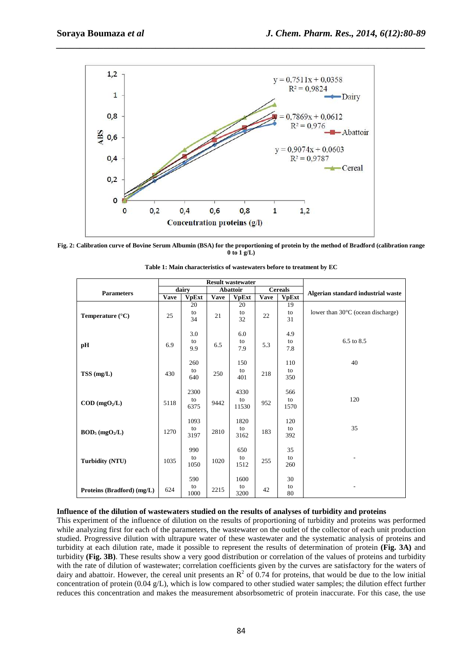

*\_\_\_\_\_\_\_\_\_\_\_\_\_\_\_\_\_\_\_\_\_\_\_\_\_\_\_\_\_\_\_\_\_\_\_\_\_\_\_\_\_\_\_\_\_\_\_\_\_\_\_\_\_\_\_\_\_\_\_\_\_\_\_\_\_\_\_\_\_\_\_\_\_\_\_\_\_\_*

**Fig. 2: Calibration curve of Bovine Serum Albumin (BSA) for the proportioning of protein by the method of Bradford (calibration range 0 to 1 g/L)** 

|                                    | <b>Result wastewater</b> |                    |                 |                     |                |                   |                                    |  |  |
|------------------------------------|--------------------------|--------------------|-----------------|---------------------|----------------|-------------------|------------------------------------|--|--|
| <b>Parameters</b>                  | dairy                    |                    | <b>Abattoir</b> |                     | <b>Cereals</b> |                   |                                    |  |  |
|                                    | <b>Vave</b>              | <b>VpExt</b>       | <b>Vave</b>     | <b>VpExt</b>        | <b>Vave</b>    | <b>VpExt</b>      | Algerian standard industrial waste |  |  |
| Temperature $(^{\circ}C)$          | 25                       | 20<br>to<br>34     | 21              | 20<br>to<br>32      | 22             | 19<br>to<br>31    | lower than 30°C (ocean discharge)  |  |  |
| pH                                 | 6.9                      | 3.0<br>to<br>9.9   | 6.5             | 6.0<br>to<br>7.9    | 5.3            | 4.9<br>to<br>7.8  | 6.5 to 8.5                         |  |  |
| TSS (mg/L)                         | 430                      | 260<br>to<br>640   | 250             | 150<br>to<br>401    | 218            | 110<br>to<br>350  | 40                                 |  |  |
| $\text{COD}$ (mgO <sub>2</sub> /L) | 5118                     | 2300<br>to<br>6375 | 9442            | 4330<br>to<br>11530 | 952            | 566<br>to<br>1570 | 120                                |  |  |
| $BOD_5 (mgO2/L)$                   | 1270                     | 1093<br>to<br>3197 | 2810            | 1820<br>to<br>3162  | 183            | 120<br>to<br>392  | 35                                 |  |  |
| <b>Turbidity (NTU)</b>             | 1035                     | 990<br>to<br>1050  | 1020            | 650<br>to<br>1512   | 255            | 35<br>to<br>260   |                                    |  |  |
| Proteins (Bradford) (mg/L)         | 624                      | 590<br>to<br>1000  | 2215            | 1600<br>to<br>3200  | 42             | 30<br>to<br>80    |                                    |  |  |

| Table 1: Main characteristics of wastewaters before to treatment by EC |  |
|------------------------------------------------------------------------|--|
|------------------------------------------------------------------------|--|

### **Influence of the dilution of wastewaters studied on the results of analyses of turbidity and proteins**

This experiment of the influence of dilution on the results of proportioning of turbidity and proteins was performed while analyzing first for each of the parameters, the wastewater on the outlet of the collector of each unit production studied. Progressive dilution with ultrapure water of these wastewater and the systematic analysis of proteins and turbidity at each dilution rate, made it possible to represent the results of determination of protein **(Fig. 3A)** and turbidity **(Fig. 3B)**. These results show a very good distribution or correlation of the values of proteins and turbidity with the rate of dilution of wastewater; correlation coefficients given by the curves are satisfactory for the waters of dairy and abattoir. However, the cereal unit presents an  $\mathbb{R}^2$  of 0.74 for proteins, that would be due to the low initial concentration of protein  $(0.04 \text{ g/L})$ , which is low compared to other studied water samples; the dilution effect further reduces this concentration and makes the measurement absorbsometric of protein inaccurate. For this case, the use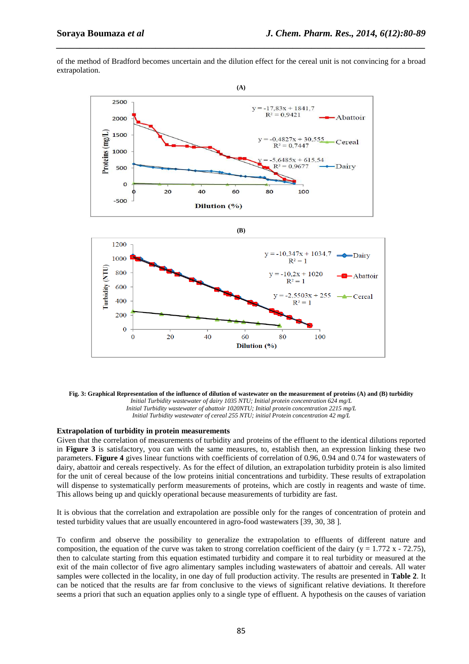of the method of Bradford becomes uncertain and the dilution effect for the cereal unit is not convincing for a broad extrapolation.

*\_\_\_\_\_\_\_\_\_\_\_\_\_\_\_\_\_\_\_\_\_\_\_\_\_\_\_\_\_\_\_\_\_\_\_\_\_\_\_\_\_\_\_\_\_\_\_\_\_\_\_\_\_\_\_\_\_\_\_\_\_\_\_\_\_\_\_\_\_\_\_\_\_\_\_\_\_\_*



**Fig. 3: Graphical Representation of the influence of dilution of wastewater on the measurement of proteins (A) and (B) turbidity**  *Initial Turbidity wastewater of dairy 1035 NTU; Initial protein concentration 624 mg/L Initial Turbidity wastewater of abattoir 1020NTU; Initial protein concentration 2215 mg/L Initial Turbidity wastewater of cereal 255 NTU; initial Protein concentration 42 mg/L*

#### **Extrapolation of turbidity in protein measurements**

Given that the correlation of measurements of turbidity and proteins of the effluent to the identical dilutions reported in **Figure 3** is satisfactory, you can with the same measures, to, establish then, an expression linking these two parameters. **Figure 4** gives linear functions with coefficients of correlation of 0.96, 0.94 and 0.74 for wastewaters of dairy, abattoir and cereals respectively. As for the effect of dilution, an extrapolation turbidity protein is also limited for the unit of cereal because of the low proteins initial concentrations and turbidity. These results of extrapolation will dispense to systematically perform measurements of proteins, which are costly in reagents and waste of time. This allows being up and quickly operational because measurements of turbidity are fast.

It is obvious that the correlation and extrapolation are possible only for the ranges of concentration of protein and tested turbidity values that are usually encountered in agro-food wastewaters [39, 30, 38 ].

To confirm and observe the possibility to generalize the extrapolation to effluents of different nature and composition, the equation of the curve was taken to strong correlation coefficient of the dairy ( $y = 1.772$  x - 72.75). then to calculate starting from this equation estimated turbidity and compare it to real turbidity or measured at the exit of the main collector of five agro alimentary samples including wastewaters of abattoir and cereals. All water samples were collected in the locality, in one day of full production activity. The results are presented in **Table 2**. It can be noticed that the results are far from conclusive to the views of significant relative deviations. It therefore seems a priori that such an equation applies only to a single type of effluent. A hypothesis on the causes of variation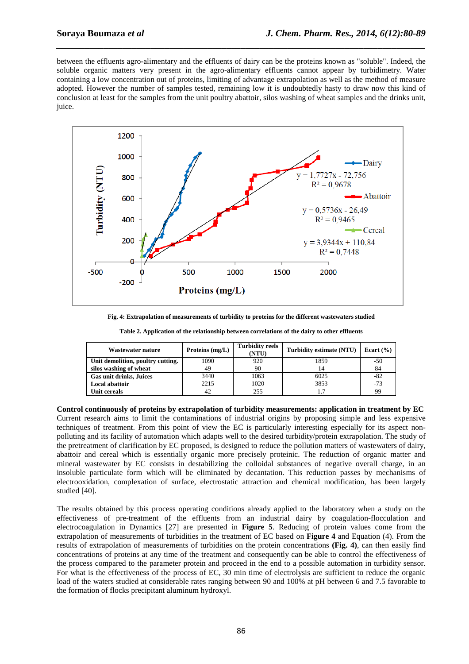between the effluents agro-alimentary and the effluents of dairy can be the proteins known as "soluble". Indeed, the soluble organic matters very present in the agro-alimentary effluents cannot appear by turbidimetry. Water containing a low concentration out of proteins, limiting of advantage extrapolation as well as the method of measure adopted. However the number of samples tested, remaining low it is undoubtedly hasty to draw now this kind of conclusion at least for the samples from the unit poultry abattoir, silos washing of wheat samples and the drinks unit, juice.

*\_\_\_\_\_\_\_\_\_\_\_\_\_\_\_\_\_\_\_\_\_\_\_\_\_\_\_\_\_\_\_\_\_\_\_\_\_\_\_\_\_\_\_\_\_\_\_\_\_\_\_\_\_\_\_\_\_\_\_\_\_\_\_\_\_\_\_\_\_\_\_\_\_\_\_\_\_\_*



**Fig. 4: Extrapolation of measurements of turbidity to proteins for the different wastewaters studied** 

| Table 2. Application of the relationship between correlations of the dairy to other effluents |  |  |  |
|-----------------------------------------------------------------------------------------------|--|--|--|
|-----------------------------------------------------------------------------------------------|--|--|--|

| Wastewater nature                 | Proteins $(mg/L)$ | <b>Turbidity reels</b><br>(NTU) | Turbidity estimate (NTU) | Ecart $(\% )$ |
|-----------------------------------|-------------------|---------------------------------|--------------------------|---------------|
| Unit demolition, poultry cutting. | 1090              | 920                             | 1859                     | $-50$         |
| silos washing of wheat            | 49                | 90                              |                          | 84            |
| <b>Gas unit drinks, Juices</b>    | 3440              | 1063                            | 6025                     | -82           |
| <b>Local abattoir</b>             | 2215              | 1020                            | 3853                     | $-73$         |
| Unit cereals                      |                   | 255                             | 1.7                      | 99            |

**Control continuously of proteins by extrapolation of turbidity measurements: application in treatment by EC**  Current research aims to limit the contaminations of industrial origins by proposing simple and less expensive techniques of treatment. From this point of view the EC is particularly interesting especially for its aspect nonpolluting and its facility of automation which adapts well to the desired turbidity/protein extrapolation. The study of the pretreatment of clarification by EC proposed, is designed to reduce the pollution matters of wastewaters of dairy, abattoir and cereal which is essentially organic more precisely proteinic. The reduction of organic matter and mineral wastewater by EC consists in destabilizing the colloidal substances of negative overall charge, in an insoluble particulate form which will be eliminated by decantation. This reduction passes by mechanisms of electrooxidation, complexation of surface, electrostatic attraction and chemical modification, has been largely studied [40].

The results obtained by this process operating conditions already applied to the laboratory when a study on the effectiveness of pre-treatment of the effluents from an industrial dairy by coagulation-flocculation and electrocoagulation in Dynamics [27] are presented in **Figure 5**. Reducing of protein values come from the extrapolation of measurements of turbidities in the treatment of EC based on **Figure 4** and Equation (4). From the results of extrapolation of measurements of turbidities on the protein concentrations **(Fig. 4)**, can then easily find concentrations of proteins at any time of the treatment and consequently can be able to control the effectiveness of the process compared to the parameter protein and proceed in the end to a possible automation in turbidity sensor. For what is the effectiveness of the process of EC, 30 min time of electrolysis are sufficient to reduce the organic load of the waters studied at considerable rates ranging between 90 and 100% at pH between 6 and 7.5 favorable to the formation of flocks precipitant aluminum hydroxyl.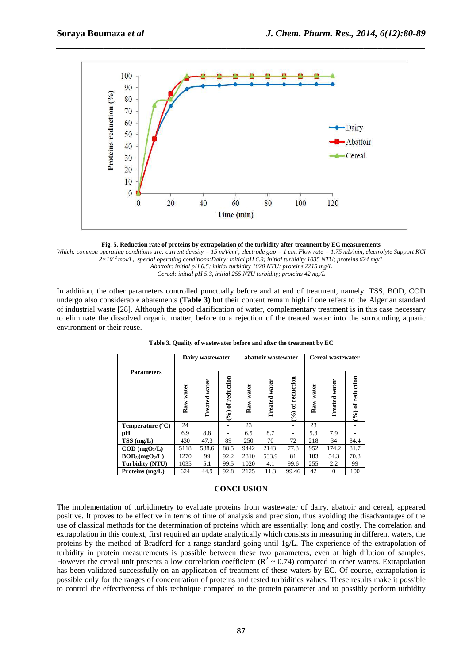

*\_\_\_\_\_\_\_\_\_\_\_\_\_\_\_\_\_\_\_\_\_\_\_\_\_\_\_\_\_\_\_\_\_\_\_\_\_\_\_\_\_\_\_\_\_\_\_\_\_\_\_\_\_\_\_\_\_\_\_\_\_\_\_\_\_\_\_\_\_\_\_\_\_\_\_\_\_\_*



Which: common operating conditions are: current density = 15 mA/cm<sup>2</sup>, electrode gap = 1 cm, Flow rate = 1.75 mL/min, electrolyte Support KCl *2×10- 2 mol/L, special operating conditions:Dairy: initial pH 6.9; initial turbidity 1035 NTU; proteins 624 mg/L Abattoir: initial pH 6.5; initial turbidity 1020 NTU; proteins 2215 mg/L Cereal: initial pH 5.3, initial 255 NTU turbidity; proteins 42 mg/L*

In addition, the other parameters controlled punctually before and at end of treatment, namely: TSS, BOD, COD undergo also considerable abatements **(Table 3)** but their content remain high if one refers to the Algerian standard of industrial waste [28]. Although the good clarification of water, complementary treatment is in this case necessary to eliminate the dissolved organic matter, before to a rejection of the treated water into the surrounding aquatic environment or their reuse.

|                                  | Dairy wastewater |                  |                    |              | abattoir wastewater |                    | Cereal wastewater |                  |                    |
|----------------------------------|------------------|------------------|--------------------|--------------|---------------------|--------------------|-------------------|------------------|--------------------|
| <b>Parameters</b>                | Raw water        | water<br>Treated | $(%)$ of reduction | water<br>Raw | Treated water       | $(%)$ of reduction | water<br>Raw      | water<br>Treated | $(%)$ of reduction |
| <b>Temperature</b> $(^{\circ}C)$ | 24               |                  |                    | 23           |                     |                    | 23                |                  |                    |
| рH                               | 6.9              | 8.8              |                    | 6.5          | 8.7                 |                    | 5.3               | 7.9              |                    |
| $TSS$ (mg/L)                     | 430              | 47.3             | 89                 | 250          | 70                  | 72                 | 218               | 34               | 84.4               |
| $\text{COD (mgO}_2/L)$           | 5118             | 588.6            | 88.5               | 9442         | 2143                | 77.3               | 952               | 174.2            | 81.7               |
| $BOD_5(mgO2/L)$                  | 1270             | 99               | 92.2               | 2810         | 533.9               | 81                 | 183               | 54.3             | 70.3               |
| Turbidity (NTU)                  | 1035             | 5.1              | 99.5               | 1020         | 4.1                 | 99.6               | 255               | 2.2              | 99                 |
| Proteins (mg/L)                  | 624              | 44.9             | 92.8               | 2125         | 11.3                | 99.46              | 42                | $\Omega$         | 100                |

**Table 3. Quality of wastewater before and after the treatment by EC** 

#### **CONCLUSION**

The implementation of turbidimetry to evaluate proteins from wastewater of dairy, abattoir and cereal, appeared positive. It proves to be effective in terms of time of analysis and precision, thus avoiding the disadvantages of the use of classical methods for the determination of proteins which are essentially: long and costly. The correlation and extrapolation in this context, first required an update analytically which consists in measuring in different waters, the proteins by the method of Bradford for a range standard going until 1g/L. The experience of the extrapolation of turbidity in protein measurements is possible between these two parameters, even at high dilution of samples. However the cereal unit presents a low correlation coefficient ( $\mathbb{R}^2 \sim 0.74$ ) compared to other waters. Extrapolation has been validated successfully on an application of treatment of these waters by EC. Of course, extrapolation is possible only for the ranges of concentration of proteins and tested turbidities values. These results make it possible to control the effectiveness of this technique compared to the protein parameter and to possibly perform turbidity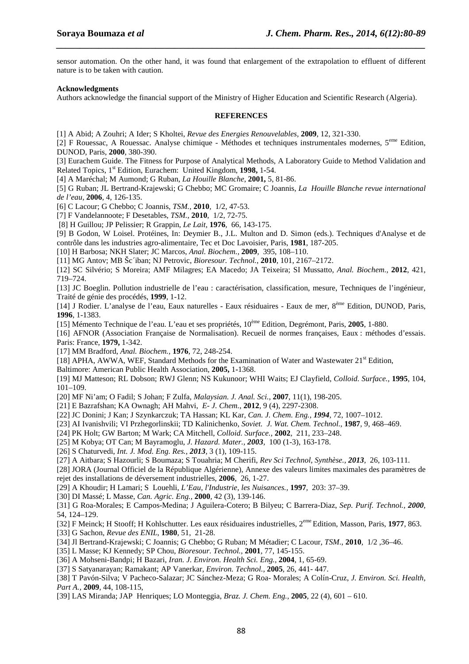sensor automation. On the other hand, it was found that enlargement of the extrapolation to effluent of different nature is to be taken with caution.

*\_\_\_\_\_\_\_\_\_\_\_\_\_\_\_\_\_\_\_\_\_\_\_\_\_\_\_\_\_\_\_\_\_\_\_\_\_\_\_\_\_\_\_\_\_\_\_\_\_\_\_\_\_\_\_\_\_\_\_\_\_\_\_\_\_\_\_\_\_\_\_\_\_\_\_\_\_\_*

#### **Acknowledgments**

Authors acknowledge the financial support of the Ministry of Higher Education and Scientific Research (Algeria).

#### **REFERENCES**

[1] A Abid; A Zouhri; A Ider; S Kholtei, *Revue des Energies Renouvelables,* **2009**, 12, 321-330.

[2] F Rouessac, A Rouessac. Analyse chimique - Méthodes et techniques instrumentales modernes,  $5^{em}$  Edition, DUNOD, Paris, **2000**, 380-390.

[3] Eurachem Guide. The Fitness for Purpose of Analytical Methods, A Laboratory Guide to Method Validation and Related Topics, 1st Edition, Eurachem: United Kingdom, **1998,** 1**-**54.

[4] A Maréchal; M Aumond; G Ruban, *La Houille Blanche*, **2001,** 5, 81-86.

[5] G Ruban; JL Bertrand-Krajewski; G Chebbo; MC Gromaire; C Joannis, *La Houille Blanche revue international de l'eau,* **2006**, 4, 126-135.

[6] C Lacour; G Chebbo; C Joannis, *TSM.,* **2010***,* 1/2, 47-53.

[7] F Vandelannoote; F Desetables, *TSM.*, **2010**, 1/2, 72-75.

[8] H Guillou; JP Pelissier; R Grappin, *Le Lait,* **1976***,* 66, 143-175.

[9] B Godon, W Loisel. Protéines, In: Deymier B., J.L. Multon and D. Simon (eds.). Techniques d'Analyse et de contrôle dans les industries agro-alimentaire, Tec et Doc Lavoisier, Paris, **1981**, 187-205.

[10] H Barbosa; NKH Slater; JC Marcos, *Anal. Biochem.,* **2009***,* 395, 108–110.

[11] MG Antov; MB Šc´iban; NJ Petrovic, *Bioresour. Technol.*, **2010**, 101, 2167–2172.

[12] SC Silvério; S Moreira; AMF Milagres; EA Macedo; JA Teixeira; SI Mussatto, *Anal. Biochem.,* **2012**, 421, 719–724.

[13] JC Boeglin. Pollution industrielle de l'eau : caractérisation, classification, mesure, Techniques de l'ingénieur, Traité de génie des procédés, **1999**, 1-12.

[14] J Rodier. L'analyse de l'eau, Eaux naturelles - Eaux résiduaires - Eaux de mer, 8ème Edition, DUNOD, Paris, **1996**, 1-1383.

[15] Mémento Technique de l'eau. L'eau et ses propriétés, 10ème Edition, Degrémont, Paris, **2005**, 1-880.

[16] AFNOR (Association Française de Normalisation). Recueil de normes françaises, Eaux : méthodes d'essais. Paris: France, **1979,** 1-342.

[17] MM Bradford, *Anal. Biochem.,* **1976**, 72, 248-254.

[18] APHA, AWWA, WEF, Standard Methods for the Examination of Water and Wastewater 21<sup>st</sup> Edition,

Baltimore: American Public Health Association, **2005,** 1**-**1368.

[19] MJ Matteson; RL Dobson; RWJ Glenn; NS Kukunoor; WHI Waits; EJ Clayfield, *Colloid. Surface.,* **1995***,* 104, 101–109.

[20] MF Ni'am; O Fadil; S Johan; F Zulfa, *Malaysian. J. Anal. Sci.*, **2007**, 11(1), 198-205.

[21] E Bazrafshan; KA Ownagh; AH Mahvi, *E- J. Chem.*, **2012**, 9 (4), 2297-2308.

[22] JC Donini; J Kan; J Szynkarczuk; TA Hassan; KL Kar, *Can. J. Chem. Eng., 1994,* 72, 1007–1012.

[23] AI Ivanishvili; VI Przhegorlinskii; TD Kalinichenko, *Soviet. J. Wat. Chem. Technol.,* **1987***,* 9, 468–469.

[24] PK Holt; GW Barton; M Wark; CA Mitchell, *Colloid. Surface.,* **2002***,* 211, 233–248.

- [25] M Kobya; OT Can; M Bayramoglu, *J. Hazard. Mater., 2003,* 100 (1-3), 163-178.
- [26] S Chaturvedi, *Int. J. Mod. Eng. Res., 2013,* 3 (1), 109-115.
- [27] A Aitbara; S Hazourli; S Boumaza; S Touahria; M Cherifi, *Rev Sci Technol, Synthèse., 2013,* 26, 103-111.

[28] JORA (Journal Officiel de la République Algérienne), Annexe des valeurs limites maximales des paramètres de rejet des installations de déversement industrielles, **2006**, 26, 1-27.

[29] A Khoudir; H Lamari; S Louehli, *L'Eau, l'Industrie, les Nuisances.,* **1997***,* 203: 37–39.

[30] DI Massé; L Masse, *Can. Agric. Eng.,* **2000***,* 42 (3), 139-146.

[31] G Roa-Morales; E Campos-Medina; J Aguilera-Cotero; B Bilyeu; C Barrera-Diaz, *Sep. Purif. Technol., 2000,*  54, 124–129.

[32] F Meinck; H Stooff; H Kohlschutter. Les eaux résiduaires industrielles, 2eme Edition, Masson, Paris, **1977**, 863.

- [33] G Sachon, *Revue des ENIL*, **1980**, 51, 21-28.
- [34] Jl Bertrand-Krajewski; C Joannis; G Chebbo; G Ruban; M Métadier; C Lacour, *TSM*., **2010**, 1/2 ,36–46.
- [35] L Masse; KJ Kennedy; SP Chou, *Bioresour. Technol.,* **2001***,* 77, 145-155.
- [36] A Mohseni-Bandpi; H Bazari, *Iran. J. Environ. Health Sci. Eng.,* **2004***,* 1, 65-69.
- [37] S Satyanarayan; Ramakant; AP Vanerkar, *Environ. Technol.,* **2005**, 26, 441- 447.

[38] T Pavón-Silva; V Pacheco-Salazar; JC Sánchez-Meza; G Roa- Morales; A Colín-Cruz, *J. Environ. Sci. Health, Part A.,* **2009***,* 44, 108-115,

[39] LAS Miranda; JAP Henriques; LO Monteggia, *Braz. J. Chem. Eng.,* **2005***,* 22 (4), 601 – 610.